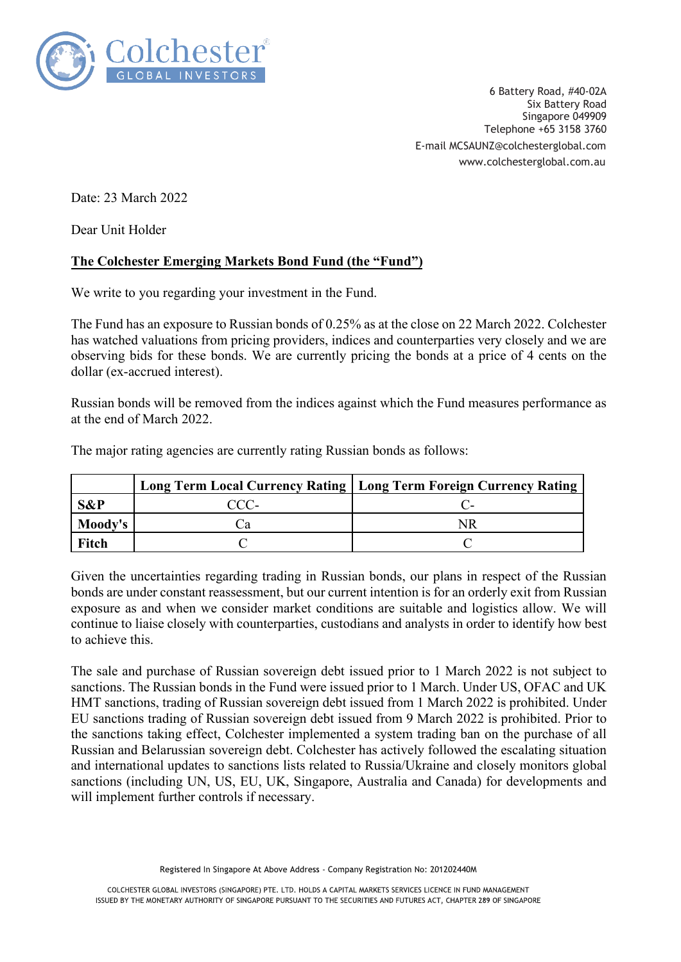

6 Battery Road, #40-02A Six Battery Road Singapore 049909 Telephone +65 3158 3760 E-mail MCSAUNZ@colchesterglobal.com www.colchesterglobal.com.au

Date: 23 March 2022

Dear Unit Holder

## **The Colchester Emerging Markets Bond Fund (the "Fund")**

We write to you regarding your investment in the Fund.

The Fund has an exposure to Russian bonds of 0.25% as at the close on 22 March 2022. Colchester has watched valuations from pricing providers, indices and counterparties very closely and we are observing bids for these bonds. We are currently pricing the bonds at a price of 4 cents on the dollar (ex-accrued interest).

Russian bonds will be removed from the indices against which the Fund measures performance as at the end of March 2022.

The major rating agencies are currently rating Russian bonds as follows:

|         |      | Long Term Local Currency Rating   Long Term Foreign Currency Rating |
|---------|------|---------------------------------------------------------------------|
| S&P     | CCC- |                                                                     |
| Moody's |      |                                                                     |
| Fitch   |      |                                                                     |

Given the uncertainties regarding trading in Russian bonds, our plans in respect of the Russian bonds are under constant reassessment, but our current intention is for an orderly exit from Russian exposure as and when we consider market conditions are suitable and logistics allow. We will continue to liaise closely with counterparties, custodians and analysts in order to identify how best to achieve this.

The sale and purchase of Russian sovereign debt issued prior to 1 March 2022 is not subject to sanctions. The Russian bonds in the Fund were issued prior to 1 March. Under US, OFAC and UK HMT sanctions, trading of Russian sovereign debt issued from 1 March 2022 is prohibited. Under EU sanctions trading of Russian sovereign debt issued from 9 March 2022 is prohibited. Prior to the sanctions taking effect, Colchester implemented a system trading ban on the purchase of all Russian and Belarussian sovereign debt. Colchester has actively followed the escalating situation and international updates to sanctions lists related to Russia/Ukraine and closely monitors global sanctions (including UN, US, EU, UK, Singapore, Australia and Canada) for developments and will implement further controls if necessary.